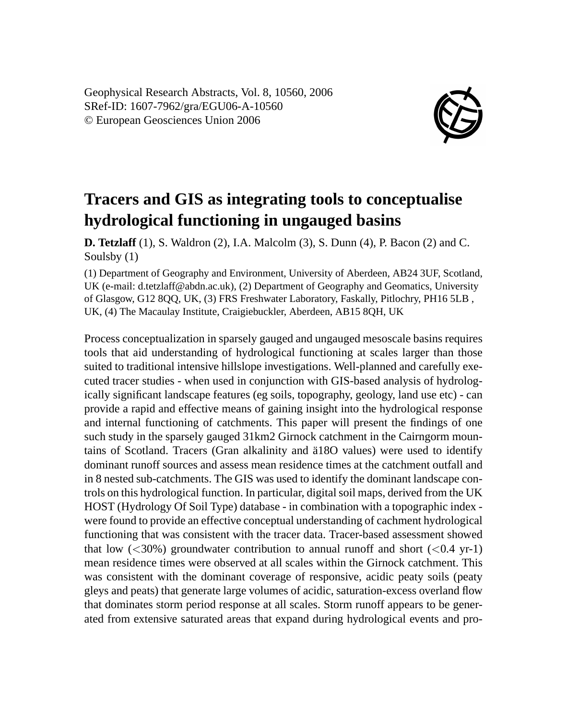Geophysical Research Abstracts, Vol. 8, 10560, 2006 SRef-ID: 1607-7962/gra/EGU06-A-10560 © European Geosciences Union 2006



## **Tracers and GIS as integrating tools to conceptualise hydrological functioning in ungauged basins**

**D. Tetzlaff** (1), S. Waldron (2), I.A. Malcolm (3), S. Dunn (4), P. Bacon (2) and C. Soulsby (1)

(1) Department of Geography and Environment, University of Aberdeen, AB24 3UF, Scotland, UK (e-mail: d.tetzlaff@abdn.ac.uk), (2) Department of Geography and Geomatics, University of Glasgow, G12 8QQ, UK, (3) FRS Freshwater Laboratory, Faskally, Pitlochry, PH16 5LB , UK, (4) The Macaulay Institute, Craigiebuckler, Aberdeen, AB15 8QH, UK

Process conceptualization in sparsely gauged and ungauged mesoscale basins requires tools that aid understanding of hydrological functioning at scales larger than those suited to traditional intensive hillslope investigations. Well-planned and carefully executed tracer studies - when used in conjunction with GIS-based analysis of hydrologically significant landscape features (eg soils, topography, geology, land use etc) - can provide a rapid and effective means of gaining insight into the hydrological response and internal functioning of catchments. This paper will present the findings of one such study in the sparsely gauged 31km2 Girnock catchment in the Cairngorm mountains of Scotland. Tracers (Gran alkalinity and ä18O values) were used to identify dominant runoff sources and assess mean residence times at the catchment outfall and in 8 nested sub-catchments. The GIS was used to identify the dominant landscape controls on this hydrological function. In particular, digital soil maps, derived from the UK HOST (Hydrology Of Soil Type) database - in combination with a topographic index were found to provide an effective conceptual understanding of cachment hydrological functioning that was consistent with the tracer data. Tracer-based assessment showed that low  $\left( \langle 30\% \rangle \right)$  groundwater contribution to annual runoff and short  $\left( \langle 0.4 \rangle \right)$  yr-1) mean residence times were observed at all scales within the Girnock catchment. This was consistent with the dominant coverage of responsive, acidic peaty soils (peaty gleys and peats) that generate large volumes of acidic, saturation-excess overland flow that dominates storm period response at all scales. Storm runoff appears to be generated from extensive saturated areas that expand during hydrological events and pro